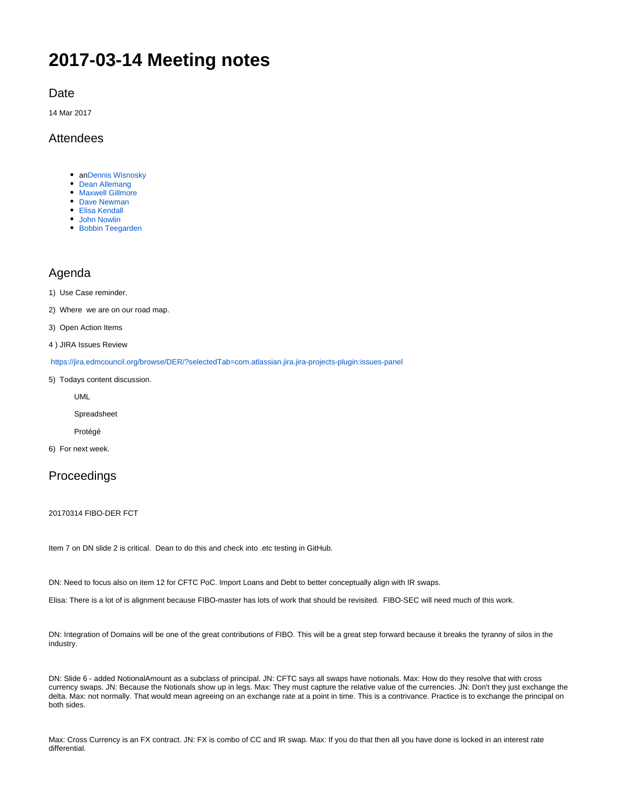# **2017-03-14 Meeting notes**

#### **Date**

14 Mar 2017

## Attendees

- a[nDennis Wisnosky](https://wiki.edmcouncil.org/display/~DennisWisnosky)
- [Dean Allemang](https://wiki.edmcouncil.org/display/~dallemang)
- [Maxwell Gillmore](https://wiki.edmcouncil.org/display/~maxwellrgillmore)
- [Dave Newman](https://wiki.edmcouncil.org/display/~dsnewman)
- [Elisa Kendall](https://wiki.edmcouncil.org/display/~ElisaKendall)
- [John Nowlin](https://wiki.edmcouncil.org/display/~jnowlin) [Bobbin Teegarden](https://wiki.edmcouncil.org/display/~teegs)

## Agenda

1) Use Case reminder.

2) Where we are on our road map.

3) Open Action Items

4 ) JIRA Issues Review

<https://jira.edmcouncil.org/browse/DER/?selectedTab=com.atlassian.jira.jira-projects-plugin:issues-panel>

5) Todays content discussion.

UML

Spreadsheet

Protégé

6) For next week.

## Proceedings

20170314 FIBO-DER FCT

Item 7 on DN slide 2 is critical. Dean to do this and check into .etc testing in GitHub.

DN: Need to focus also on item 12 for CFTC PoC. Import Loans and Debt to better conceptually align with IR swaps.

Elisa: There is a lot of is alignment because FIBO-master has lots of work that should be revisited. FIBO-SEC will need much of this work.

DN: Integration of Domains will be one of the great contributions of FIBO. This will be a great step forward because it breaks the tyranny of silos in the industry.

DN: Slide 6 - added NotionalAmount as a subclass of principal. JN: CFTC says all swaps have notionals. Max: How do they resolve that with cross currency swaps. JN: Because the Notionals show up in legs. Max: They must capture the relative value of the currencies. JN: Don't they just exchange the delta. Max: not normally. That would mean agreeing on an exchange rate at a point in time. This is a contrivance. Practice is to exchange the principal on both sides.

Max: Cross Currency is an FX contract. JN: FX is combo of CC and IR swap. Max: If you do that then all you have done is locked in an interest rate differential.